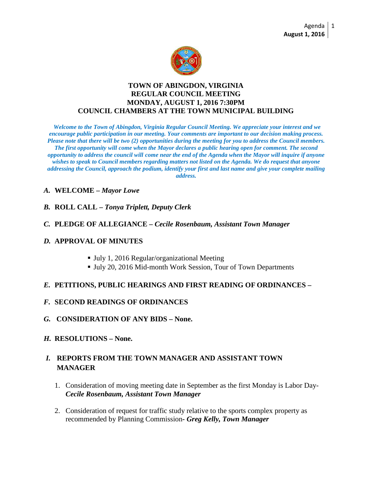

#### **TOWN OF ABINGDON, VIRGINIA REGULAR COUNCIL MEETING MONDAY, AUGUST 1, 2016 7:30PM COUNCIL CHAMBERS AT THE TOWN MUNICIPAL BUILDING**

*Welcome to the Town of Abingdon, Virginia Regular Council Meeting. We appreciate your interest and we encourage public participation in our meeting. Your comments are important to our decision making process. Please note that there will be two (2) opportunities during the meeting for you to address the Council members. The first opportunity will come when the Mayor declares a public hearing open for comment. The second opportunity to address the council will come near the end of the Agenda when the Mayor will inquire if anyone wishes to speak to Council members regarding matters not listed on the Agenda. We do request that anyone addressing the Council, approach the podium, identify your first and last name and give your complete mailing address.*

## *A.* **WELCOME –** *Mayor Lowe*

- *B.* **ROLL CALL –** *Tonya Triplett, Deputy Clerk*
- *C.* **PLEDGE OF ALLEGIANCE –** *Cecile Rosenbaum, Assistant Town Manager*

#### *D.* **APPROVAL OF MINUTES**

- July 1, 2016 Regular/organizational Meeting
- Ully 20, 2016 Mid-month Work Session, Tour of Town Departments

#### *E.* **PETITIONS, PUBLIC HEARINGS AND FIRST READING OF ORDINANCES –**

- *F.* **SECOND READINGS OF ORDINANCES**
- *G.* **CONSIDERATION OF ANY BIDS – None.**
- *H.* **RESOLUTIONS – None.**

# *I.* **REPORTS FROM THE TOWN MANAGER AND ASSISTANT TOWN MANAGER**

- 1. Consideration of moving meeting date in September as the first Monday is Labor Day-*Cecile Rosenbaum, Assistant Town Manager*
- 2. Consideration of request for traffic study relative to the sports complex property as recommended by Planning Commission*- Greg Kelly, Town Manager*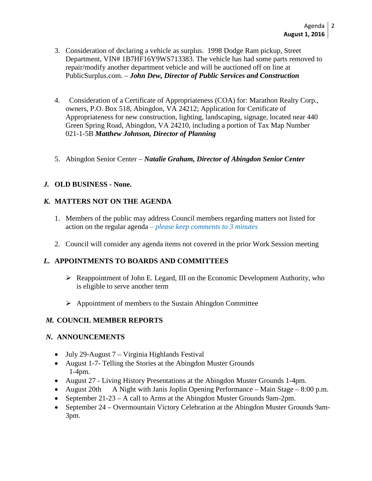- 3. Consideration of declaring a vehicle as surplus. 1998 Dodge Ram pickup, Street Department, VIN# 1B7HF16Y9WS713383. The vehicle has had some parts removed to repair/modify another department vehicle and will be auctioned off on line at PublicSurplus.com. – *John Dew, Director of Public Services and Construction*
- 4. Consideration of a Certificate of Appropriateness (COA) for: Marathon Realty Corp., owners, P.O. Box 518, Abingdon, VA 24212; Application for Certificate of Appropriateness for new construction, lighting, landscaping, signage, located near 440 Green Spring Road, Abingdon, VA 24210, including a portion of Tax Map Number 021-1-5B *Matthew Johnson, Director of Planning*
- 5. Abingdon Senior Center *Natalie Graham, Director of Abingdon Senior Center*

# *J.* **OLD BUSINESS - None.**

## *K.* **MATTERS NOT ON THE AGENDA**

- 1. Members of the public may address Council members regarding matters not listed for action on the regular agenda *– please keep comments to 3 minutes*
- 2. Council will consider any agenda items not covered in the prior Work Session meeting

## *L.* **APPOINTMENTS TO BOARDS AND COMMITTEES**

- $\triangleright$  Reappointment of John E. Legard, III on the Economic Development Authority, who is eligible to serve another term
- $\triangleright$  Appointment of members to the Sustain Abingdon Committee

## *M.* **COUNCIL MEMBER REPORTS**

## *N.* **ANNOUNCEMENTS**

- July 29-August 7 Virginia Highlands Festival
- August 1-7- Telling the Stories at the Abingdon Muster Grounds 1-4pm.
- August 27 Living History Presentations at the Abingdon Muster Grounds 1-4pm.
- August 20th A Night with Janis Joplin Opening Performance Main Stage 8:00 p.m.
- September 21-23 A call to Arms at the Abingdon Muster Grounds 9am-2pm.
- September 24 Overmountain Victory Celebration at the Abingdon Muster Grounds 9am-3pm.